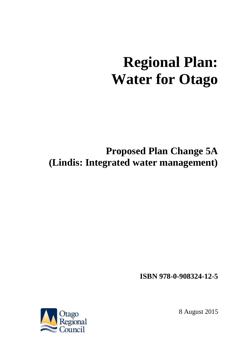### **Regional Plan: Water for Otago**

### **Proposed Plan Change 5A (Lindis: Integrated water management)**

**ISBN 978-0-908324-12-5**



8 August 2015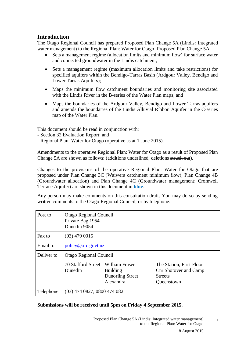#### **Introduction**

The Otago Regional Council has prepared Proposed Plan Change 5A (Lindis: Integrated water management) to the Regional Plan: Water for Otago. Proposed Plan Change 5A:

- Sets a management regime (allocation limits and minimum flow) for surface water and connected groundwater in the Lindis catchment;
- Sets a management regime (maximum allocation limits and take restrictions) for specified aquifers within the Bendigo-Tarras Basin (Ardgour Valley, Bendigo and Lower Tarras Aquifers);
- Maps the minimum flow catchment boundaries and monitoring site associated with the Lindis River in the B-series of the Water Plan maps; and
- Maps the boundaries of the Ardgour Valley, Bendigo and Lower Tarras aquifers and amends the boundaries of the Lindis Alluvial Ribbon Aquifer in the C-series map of the Water Plan.

This document should be read in conjunction with:

- Section 32 Evaluation Report; and
- Regional Plan: Water for Otago (operative as at 1 June 2015).

Amendments to the operative Regional Plan: Water for Otago as a result of Proposed Plan Change 5A are shown as follows: (additions underlined, deletions struck out).

Changes to the provisions of the operative Regional Plan: Water for Otago that are proposed under Plan Change 3C (Waiwera catchment minimum flow), Plan Change 4B (Groundwater allocation) and Plan Change 4C (Groundwater management: Cromwell Terrace Aquifer) are shown in this document in **blue***.*

Any person may make comments on this consultation draft. You may do so by sending written comments to the Otago Regional Council, or by telephone.

| Post to    | Otago Regional Council<br>Private Bag 1954<br>Dunedin 9054 |                                                                    |                                                                                   |  |
|------------|------------------------------------------------------------|--------------------------------------------------------------------|-----------------------------------------------------------------------------------|--|
| Fax to     | $(03)$ 479 0015                                            |                                                                    |                                                                                   |  |
| Email to   | policy@orc.govt.nz                                         |                                                                    |                                                                                   |  |
| Deliver to | Otago Regional Council                                     |                                                                    |                                                                                   |  |
|            | 70 Stafford Street<br>Dunedin                              | William Fraser<br><b>Building</b><br>Dunorling Street<br>Alexandra | The Station, First Floor<br>Cnr Shotover and Camp<br><b>Streets</b><br>Queenstown |  |
| Telephone  | (03) 474 0827; 0800 474 082                                |                                                                    |                                                                                   |  |

#### **Submissions will be received until 5pm on Friday 4 September 2015.**

Proposed Plan Change 5A (Lindis: Integrated water management) to the Regional Plan: Water for Otago

i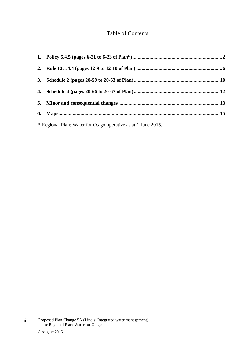#### Table of Contents

| * Regional Plan: Water for Otago operative as at 1 June 2015. |  |
|---------------------------------------------------------------|--|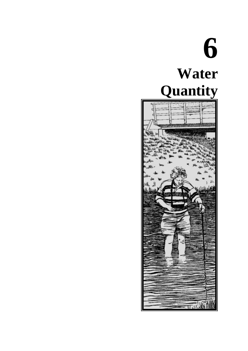### **6 Water Quantity**

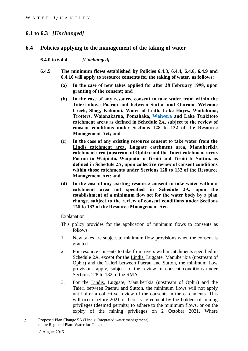#### **6.1 to 6.3** *[Unchanged]*

#### **6.4 Policies applying to the management of the taking of water**

#### **6.4.0 to 6.4.4** *[Unchanged]*

- **6.4.5 The minimum flows established by Policies 6.4.3, 6.4.4, 6.4.6, 6.4.9 and 6.4.10 will apply to resource consents for the taking of water, as follows:**
	- **(a) In the case of new takes applied for after 28 February 1998, upon granting of the consent; and**
	- **(b) In the case of any resource consent to take water from within the Taieri above Paerau and between Sutton and Outram, Welcome Creek, Shag, Kakanui, Water of Leith, Lake Hayes, Waitahuna, Trotters, Waianakarua, Pomahaka, Waiwera and Lake Tuakitoto catchment areas as defined in Schedule 2A, subject to the review of consent conditions under Sections 128 to 132 of the Resource Management Act; and**
	- **(c) In the case of any existing resource consent to take water from the Lindis catchment area, Luggate catchment area, Manuherikia catchment area (upstream of Ophir) and the Taieri catchment areas Paerau to Waipiata, Waipiata to Tiroiti and Tiroiti to Sutton, as defined in Schedule 2A, upon collective review of consent conditions within those catchments under Sections 128 to 132 of the Resource Management Act; and**
	- **(d) In the case of any existing resource consent to take water within a catchment area not specified in Schedule 2A, upon the establishment of a minimum flow set for the water body by a plan change, subject to the review of consent conditions under Sections 128 to 132 of the Resource Management Act.**

#### Explanation

- This policy provides for the application of minimum flows to consents as follows:
- 1. New takes are subject to minimum flow provisions when the consent is granted.
- 2. For resource consents to take from rivers within catchments specified in Schedule 2A, except for the Lindis, Luggate, Manuherikia (upstream of Ophir) and the Taieri between Paerau and Sutton, the minimum flow provisions apply, subject to the review of consent conditions under Sections 128 to 132 of the RMA.
- 3. For the Lindis, Luggate, Manuherikia (upstream of Ophir) and the Taieri between Paerau and Sutton, the minimum flows will not apply until after a collective review of the consents in the catchments. This will occur before 2021 if there is agreement by the holders of mining privileges (deemed permits) to adhere to the minimum flows, or on the expiry of the mining privileges on 2 October 2021. Where
- 2 Proposed Plan Change 5A (Lindis: Integrated water management) to the Regional Plan: Water for Otago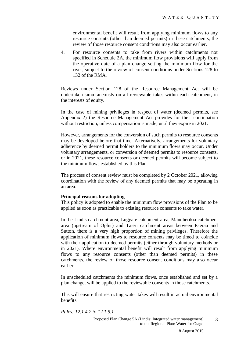environmental benefit will result from applying minimum flows to any resource consents (other than deemed permits) in these catchments, the review of those resource consent conditions may also occur earlier.

4. For resource consents to take from rivers within catchments not specified in Schedule 2A, the minimum flow provisions will apply from the operative date of a plan change setting the minimum flow for the river, subject to the review of consent conditions under Sections 128 to 132 of the RMA.

Reviews under Section 128 of the Resource Management Act will be undertaken simultaneously on all reviewable takes within each catchment, in the interests of equity.

In the case of mining privileges in respect of water (deemed permits, see Appendix 2) the Resource Management Act provides for their continuation without restriction, unless compensation is made, until they expire in 2021.

However, arrangements for the conversion of such permits to resource consents may be developed before that time. Alternatively, arrangements for voluntary adherence by deemed permit holders to the minimum flows may occur. Under voluntary arrangements, or conversion of deemed permits to resource consents, or in 2021, these resource consents or deemed permits will become subject to the minimum flows established by this Plan.

The process of consent review must be completed by 2 October 2021, allowing coordination with the review of any deemed permits that may be operating in an area.

#### **Principal reasons for adopting**

This policy is adopted to enable the minimum flow provisions of the Plan to be applied as soon as practicable to existing resource consents to take water.

In the Lindis catchment area, Luggate catchment area, Manuherikia catchment area (upstream of Ophir) and Taieri catchment areas between Paerau and Sutton, there is a very high proportion of mining privileges. Therefore the application of minimum flows to resource consents may be timed to coincide with their application to deemed permits (either through voluntary methods or in 2021). Where environmental benefit will result from applying minimum flows to any resource consents (other than deemed permits) in these catchments, the review of those resource consent conditions may also occur earlier.

In unscheduled catchments the minimum flows, once established and set by a plan change, will be applied to the reviewable consents in those catchments.

This will ensure that restricting water takes will result in actual environmental benefits.

*Rules: 12.1.4.2 to 12.1.5.1*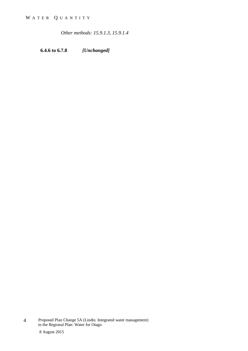*Other methods: 15.9.1.3, 15.9.1.4*

**6.4.6 to 6.7.8** *[Unchanged]*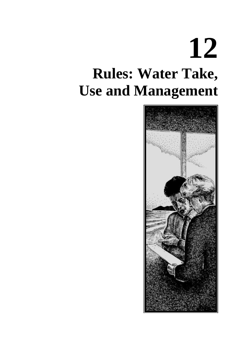### **12 Rules: Water Take, Use and Management**

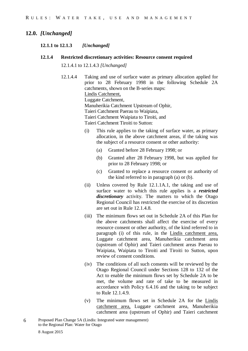#### **12.0.** *[Unchanged]*

#### **12.1.1 to 12.1.3** *[Unchanged]*

**12.1.4 Restricted discretionary activities: Resource consent required**

12.1.4.1 to 12.1.4.3 *[Unchanged]*

- 12.1.4.4 Taking and use of surface water as primary allocation applied for prior to 28 February 1998 in the following Schedule 2A catchments, shown on the B-series maps: Lindis Catchment, Luggate Catchment, Manuherikia Catchment Upstream of Ophir, Taieri Catchment Paerau to Waipiata, Taieri Catchment Waipiata to Tiroiti, and Taieri Catchment Tiroiti to Sutton:
	- (i) This rule applies to the taking of surface water, as primary allocation, in the above catchment areas, if the taking was the subject of a resource consent or other authority:
		- (a) Granted before 28 February 1998; or
		- (b) Granted after 28 February 1998, but was applied for prior to 28 February 1998; or
		- (c) Granted to replace a resource consent or authority of the kind referred to in paragraph (a) or (b).
	- (ii) Unless covered by Rule 12.1.1A.1, the taking and use of surface water to which this rule applies is a *restricted discretionary* activity. The matters to which the Otago Regional Council has restricted the exercise of its discretion are set out in Rule 12.1.4.8.
	- (iii) The minimum flows set out in Schedule 2A of this Plan for the above catchments shall affect the exercise of every resource consent or other authority, of the kind referred to in paragraph (i) of this rule, in the Lindis catchment area, Luggate catchment area, Manuherikia catchment area (upstream of Ophir) and Taieri catchment areas Paerau to Waipiata, Waipiata to Tiroiti and Tiroiti to Sutton, upon review of consent conditions.
	- (iv) The conditions of all such consents will be reviewed by the Otago Regional Council under Sections 128 to 132 of the Act to enable the minimum flows set by Schedule 2A to be met, the volume and rate of take to be measured in accordance with Policy 6.4.16 and the taking to be subject to Rule 12.1.4.9.
	- (v) The minimum flows set in Schedule 2A for the Lindis catchment area, Luggate catchment area, Manuherikia catchment area (upstream of Ophir) and Taieri catchment
- 6 Proposed Plan Change 5A (Lindis: Integrated water management) to the Regional Plan: Water for Otago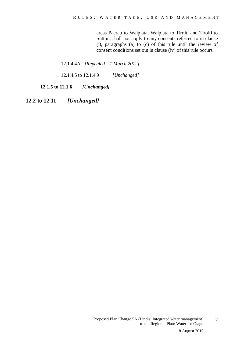areas Paerau to Waipiata, Waipiata to Tiroiti and Tiroiti to Sutton, shall not apply to any consents referred to in clause (i), paragraphs (a) to (c) of this rule until the review of consent conditions set out in clause (iv) of this rule occurs.

12.1.4.4A *[Repealed – 1 March 2012]*

12.1.4.5 to 12.1.4.9 *[Unchanged]*

**12.1.5 to 12.1.6** *[Unchanged]*

**12.2 to 12.11** *[Unchanged]*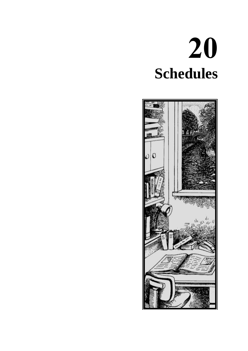# **20 Schedules**

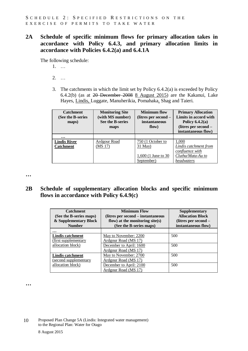**2A Schedule of specific minimum flows for primary allocation takes in accordance with Policy 6.4.3, and primary allocation limits in accordance with Policies 6.4.2(a) and 6.4.1A**

The following schedule:

- 1. …
- 2. …
- 3. The catchments in which the limit set by Policy 6.4.2(a) is exceeded by Policy 6.4.2(b) (as at 20 December 2008 8 August 2015) are the Kakanui, Lake Hayes, Lindis, Luggate, Manuherikia, Pomahaka, Shag and Taieri.

| <b>Catchment</b><br>(See the B-series<br>maps) | <b>Monitoring Site</b><br>(with MS number)<br><b>See the B-series</b><br>maps | <b>Minimum flow</b><br>(litres per second –<br>instantaneous<br>flow) | <b>Primary Allocation</b><br>Limits in accord with<br>Policy $6.4.2(a)$<br>(litres per second -<br>instantaneous flow) |
|------------------------------------------------|-------------------------------------------------------------------------------|-----------------------------------------------------------------------|------------------------------------------------------------------------------------------------------------------------|
| $\cdots$                                       |                                                                               |                                                                       |                                                                                                                        |
| <b>Lindis River</b>                            | <b>Ardgour Road</b>                                                           | 750 (1 October to                                                     | 1,000                                                                                                                  |
| <b>Catchment</b>                               | (MS 17)                                                                       | $31$ May)                                                             | <b>Lindis catchment from</b>                                                                                           |
|                                                |                                                                               |                                                                       | confluence with                                                                                                        |
|                                                |                                                                               | 1,600 (1 June to 30                                                   | Clutha/Mata-Au to                                                                                                      |
|                                                |                                                                               | September)                                                            | headwaters                                                                                                             |

**…**

#### **2B Schedule of supplementary allocation blocks and specific minimum flows in accordance with Policy 6.4.9(c)**

| <b>Catchment</b><br>(See the B-series maps)<br>& Supplementary Block<br><b>Number</b> | <b>Minimum Flow</b><br>(litres per second – instantaneous)<br>flow) at the monitoring site $(s)$<br>(See the B-series maps) | <b>Supplementary</b><br><b>Allocation Block</b><br>(litres per second –<br>instantaneous flow) |  |
|---------------------------------------------------------------------------------------|-----------------------------------------------------------------------------------------------------------------------------|------------------------------------------------------------------------------------------------|--|
| $\ddotsc$                                                                             |                                                                                                                             |                                                                                                |  |
| Lindis catchment                                                                      | May to November: 2200                                                                                                       | 500                                                                                            |  |
| (first supplementary                                                                  | Ardgour Road (MS 17)                                                                                                        |                                                                                                |  |
| allocation block)                                                                     | December to April: 1600                                                                                                     | 500                                                                                            |  |
|                                                                                       | Ardgour Road (MS 17)                                                                                                        |                                                                                                |  |
| <b>Lindis catchment</b>                                                               | May to November: 2700                                                                                                       | 500                                                                                            |  |
| (second supplementary                                                                 | Ardgour Road (MS 17)                                                                                                        |                                                                                                |  |
| allocation block)                                                                     | December to April: 2100                                                                                                     | 500                                                                                            |  |
|                                                                                       | Ardgour Road (MS 17)                                                                                                        |                                                                                                |  |

**…**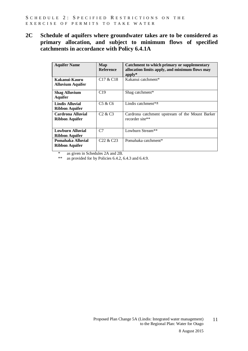**2C Schedule of aquifers where groundwater takes are to be considered as primary allocation, and subject to minimum flows of specified catchments in accordance with Policy 6.4.1A**

| <b>Aquifer Name</b>                             | Map<br><b>Reference</b>           | Catchment to which primary or supplementary<br>allocation limits apply, and minimum flows may<br>$apply*$ |
|-------------------------------------------------|-----------------------------------|-----------------------------------------------------------------------------------------------------------|
| Kakanui-Kauru<br><b>Alluvium Aquifer</b>        | C <sub>17</sub> & C <sub>18</sub> | Kakanui catchment*                                                                                        |
| <b>Shag Alluvium</b><br><b>Aquifer</b>          | C19                               | Shag catchment*                                                                                           |
| <b>Lindis Alluvial</b><br><b>Ribbon Aquifer</b> | C <sub>5</sub> & C <sub>6</sub>   | Lindis catchment $*$                                                                                      |
| Cardrona Alluvial<br><b>Ribbon Aquifer</b>      | C2 & C3                           | Cardrona catchment upstream of the Mount Barker<br>recorder site**                                        |
| <b>Lowburn Alluvial</b><br>Ribbon Aquifer       | C <sub>7</sub>                    | Lowburn Stream**                                                                                          |
| Pomahaka Alluvial<br><b>Ribbon Aquifer</b>      | C <sub>22</sub> & C <sub>23</sub> | Pomahaka catchment*                                                                                       |

\* as given in Schedules 2A and 2B.<br>\*\* as provided for by Policies 6.4.2.6

as provided for by Policies  $6.4.2$ ,  $6.4.3$  and  $6.4.9$ .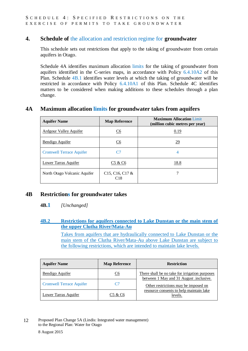#### **4. Schedule of** the allocation and restriction regime for **groundwater**

This schedule sets out restrictions that apply to the taking of groundwater from certain aquifers in Otago.

Schedule 4A identifies maximum allocation limits for the taking of groundwater from aquifers identified in the C-series maps, in accordance with Policy 6.4.10A2 of this Plan. Schedule 4B.1 identifies water levels at which the taking of groundwater will be restricted in accordance with Policy 6.4.10A1 of this Plan. Schedule 4C identifies matters to be considered when making additions to these schedules through a plan change.

#### **4A Maximum allocation limits for groundwater takes from aquifers**

| <b>Aquifer Name</b>             | <b>Map Reference</b>     | <b>Maximum Allocation Limit</b><br>(million cubic metres per year) |
|---------------------------------|--------------------------|--------------------------------------------------------------------|
| <b>Ardgour Valley Aquifer</b>   | C <sub>6</sub>           | 0.19                                                               |
| Bendigo Aquifer                 | C <sub>6</sub>           | <u>29</u>                                                          |
| <b>Cromwell Terrace Aquifer</b> | C7                       | 4                                                                  |
| Lower Tarras Aquifer            | C5 & C6                  | 18.8                                                               |
| North Otago Volcanic Aquifer    | $C15, C16, C17$ &<br>C18 |                                                                    |

#### **4B Restrictions for groundwater takes**

#### **4B.1** *[Unchanged]*

#### **4B.2 Restrictions for aquifers connected to Lake Dunstan or the main stem of the upper Clutha River/Mata-Au**

Takes from aquifers that are hydraulically connected to Lake Dunstan or the main stem of the Clutha River/Mata-Au above Lake Dunstan are subject to the following restrictions, which are intended to maintain lake levels.

| <b>Aquifer Name</b>             | <b>Map Reference</b>    | <b>Restriction</b>                                                                        |
|---------------------------------|-------------------------|-------------------------------------------------------------------------------------------|
| Bendigo Aquifer                 | $\underline{\text{C6}}$ | There shall be no take for irrigation purposes<br>between 1 May and 31 August .inclusive. |
| <b>Cromwell Terrace Aquifer</b> | C7                      | Other restrictions may be imposed on                                                      |
| Lower Tarras Aquifer            | C5 & C6                 | resource consents to help maintain lake<br>levels.                                        |

<sup>12</sup> Proposed Plan Change 5A (Lindis: Integrated water management) to the Regional Plan: Water for Otago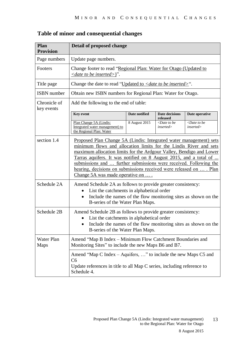| <b>Plan</b><br><b>Provision</b> | <b>Detail of proposed change</b>                                                                                                                                                                                                                                                                                                                                                                                                                                                  |                      |                                               |                                               |
|---------------------------------|-----------------------------------------------------------------------------------------------------------------------------------------------------------------------------------------------------------------------------------------------------------------------------------------------------------------------------------------------------------------------------------------------------------------------------------------------------------------------------------|----------------------|-----------------------------------------------|-----------------------------------------------|
| Page numbers                    | Update page numbers.                                                                                                                                                                                                                                                                                                                                                                                                                                                              |                      |                                               |                                               |
| Footers                         | Change footer to read "Regional Plan: Water for Otago (Updated to<br>$\langle$ date to be inserted $\rangle$ ".                                                                                                                                                                                                                                                                                                                                                                   |                      |                                               |                                               |
| Title page                      | Change the date to read "Updated to $\langle$ <i>date to be inserted</i> $\rangle$ ".                                                                                                                                                                                                                                                                                                                                                                                             |                      |                                               |                                               |
| <b>ISBN</b> number              | Obtain new ISBN numbers for Regional Plan: Water for Otago.                                                                                                                                                                                                                                                                                                                                                                                                                       |                      |                                               |                                               |
| Chronicle of<br>key events      | Add the following to the end of table:                                                                                                                                                                                                                                                                                                                                                                                                                                            |                      |                                               |                                               |
|                                 | <b>Key event</b>                                                                                                                                                                                                                                                                                                                                                                                                                                                                  | <b>Date notified</b> | <b>Date decisions</b><br>released             | Date operative                                |
|                                 | Plan Change 5A (Lindis:<br>Integrated water management) to<br>the Regional Plan: Water                                                                                                                                                                                                                                                                                                                                                                                            | 8 August 2015        | $\triangle$ Date to be<br><i>inserted&gt;</i> | $\triangle$ Date to be<br><i>inserted&gt;</i> |
| section 1.4                     | <u>Proposed Plan Change 5A (Lindis: Integrated water management) sets</u><br>minimum flows and allocation limits for the Lindis River and sets<br>maximum allocation limits for the Ardgour Valley, Bendigo and Lower<br><u>Tarras aquifers. It was notified on 8 August 2015, and a total of </u><br>submissions and  further submissions were received. Following the<br>hearing, decisions on submissions received were released on  . Plan<br>Change 5A was made operative on |                      |                                               |                                               |
| Schedule 2A                     | Amend Schedule 2A as follows to provide greater consistency:<br>List the catchments in alphabetical order<br>Include the names of the flow monitoring sites as shown on the<br>$\bullet$<br>B-series of the Water Plan Maps.                                                                                                                                                                                                                                                      |                      |                                               |                                               |
| Schedule 2B                     | Amend Schedule 2B as follows to provide greater consistency:<br>List the catchments in alphabetical order<br>Include the names of the flow monitoring sites as shown on the<br>B-series of the Water Plan Maps.                                                                                                                                                                                                                                                                   |                      |                                               |                                               |
| Water Plan<br>Maps              | Amend "Map B Index – Minimum Flow Catchment Boundaries and<br>Monitoring Sites" to include the new Maps B6 and B7.                                                                                                                                                                                                                                                                                                                                                                |                      |                                               |                                               |
|                                 | Amend "Map C Index – Aquifers, " to include the new Maps C5 and<br>C6<br>Update references in title to all Map C series, including reference to<br>Schedule 4.                                                                                                                                                                                                                                                                                                                    |                      |                                               |                                               |

#### **Table of minor and consequential changes**